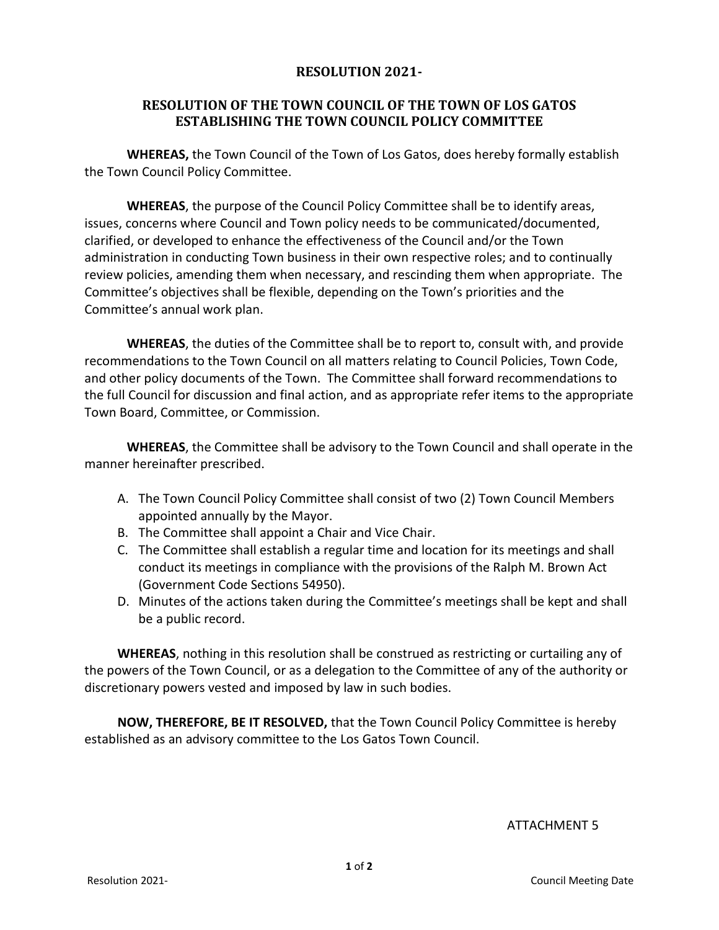## **RESOLUTION 2021-**

## **RESOLUTION OF THE TOWN COUNCIL OF THE TOWN OF LOS GATOS ESTABLISHING THE TOWN COUNCIL POLICY COMMITTEE**

**WHEREAS,** the Town Council of the Town of Los Gatos, does hereby formally establish the Town Council Policy Committee.

**WHEREAS**, the purpose of the Council Policy Committee shall be to identify areas, issues, concerns where Council and Town policy needs to be communicated/documented, clarified, or developed to enhance the effectiveness of the Council and/or the Town administration in conducting Town business in their own respective roles; and to continually review policies, amending them when necessary, and rescinding them when appropriate. The Committee's objectives shall be flexible, depending on the Town's priorities and the Committee's annual work plan.

**WHEREAS**, the duties of the Committee shall be to report to, consult with, and provide recommendations to the Town Council on all matters relating to Council Policies, Town Code, and other policy documents of the Town. The Committee shall forward recommendations to the full Council for discussion and final action, and as appropriate refer items to the appropriate Town Board, Committee, or Commission.

**WHEREAS**, the Committee shall be advisory to the Town Council and shall operate in the manner hereinafter prescribed.

- A. The Town Council Policy Committee shall consist of two (2) Town Council Members appointed annually by the Mayor.
- B. The Committee shall appoint a Chair and Vice Chair.
- C. The Committee shall establish a regular time and location for its meetings and shall conduct its meetings in compliance with the provisions of the Ralph M. Brown Act (Government Code Sections 54950).
- D. Minutes of the actions taken during the Committee's meetings shall be kept and shall be a public record.

**WHEREAS**, nothing in this resolution shall be construed as restricting or curtailing any of the powers of the Town Council, or as a delegation to the Committee of any of the authority or discretionary powers vested and imposed by law in such bodies.

**NOW, THEREFORE, BE IT RESOLVED,** that the Town Council Policy Committee is hereby established as an advisory committee to the Los Gatos Town Council.

ATTACHMENT 5